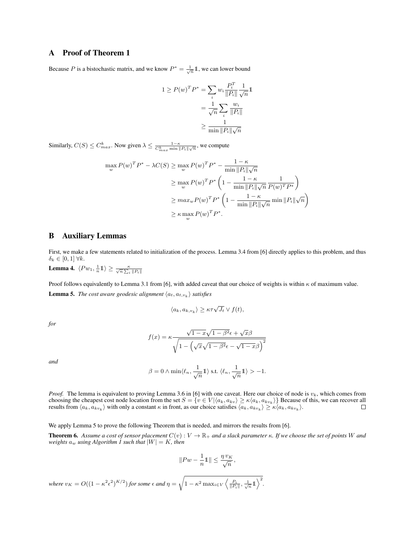## A Proof of Theorem 1

Because P is a bistochastic matrix, and we know  $P^* = \frac{1}{\sqrt{n}} \mathbb{1}$ , we can lower bound

$$
1 \ge P(w)^T P^* = \sum_i w_i \frac{P_i^T}{\|P_i\|} \frac{1}{\sqrt{n}} 1
$$

$$
= \frac{1}{\sqrt{n}} \sum_i \frac{w_i}{\|P_i\|}
$$

$$
\ge \frac{1}{\min \|P_i\| \sqrt{n}}
$$

Similarly,  $C(S) \le C_{max}^k$ . Now given  $\lambda \le \frac{1-\kappa}{C_{max}^k \min \|P_i\|\sqrt{n}}$ , we compute

$$
\max_{w} P(w)^{T} P^{*} - \lambda C(S) \ge \max_{w} P(w)^{T} P^{*} - \frac{1 - \kappa}{\min \|P_{i}\|\sqrt{n}}
$$
  
\n
$$
\ge \max_{w} P(w)^{T} P^{*} \left(1 - \frac{1 - \kappa}{\min \|P_{i}\|\sqrt{n}} \frac{1}{P(w)^{T} P^{*}}\right)
$$
  
\n
$$
\ge \max_{w} P(w)^{T} P^{*} \left(1 - \frac{1 - \kappa}{\min \|P_{i}\|\sqrt{n}} \min \|P_{i}\|\sqrt{n}\right)
$$
  
\n
$$
\ge \kappa \max_{w} P(w)^{T} P^{*}.
$$

## B Auxiliary Lemmas

First, we make a few statements related to initialization of the process. Lemma 3.4 from [6] directly applies to this problem, and thus  $\delta_k \in [0,1] \; \forall k.$ 

**Lemma 4.**  $\langle P w_1, \frac{1}{n} \mathbb{1} \rangle \geq \frac{\kappa}{\sqrt{n} \sum_i \|P_i\|}$ 

Proof follows equivalently to Lemma 3.1 from [6], with added caveat that our choice of weights is within  $\kappa$  of maximum value. **Lemma 5.** The cost aware geodesic alignment  $\langle a_t, a_{t,v_k} \rangle$  satisfies

$$
\langle a_k, a_{k,v_k} \rangle \ge \kappa \tau \sqrt{J_t} \vee f(t),
$$

*for*

$$
f(x) = \kappa \frac{\sqrt{1 - x}\sqrt{1 - \beta^2} \epsilon + \sqrt{x}\beta}{\sqrt{1 - \left(\sqrt{x}\sqrt{1 - \beta^2}\epsilon - \sqrt{1 - x}\beta\right)^2}}
$$

*and*

$$
\beta=0 \wedge \min \langle \ell_n, \frac{1}{\sqrt{n}}1 \rangle \text{ s.t. } \langle \ell_n, \frac{1}{\sqrt{n}}1 \rangle >-1.
$$

*Proof.* The lemma is equivalent to proving Lemma 3.6 in [6] with one caveat. Here our choice of node is  $v_k$ , which comes from choosing the cheapest cost node location from the set  $S = \{v \in V | \langle a_k, a_{kv} \rangle \ge \kappa \langle a_k, a_{kv_k} \rangle\}$  Because of this, we can recover all results from  $\langle a_k, a_{kv_k} \rangle$  with only a constant  $\kappa$  in front, as our choice satisfies  $\langle a_k, a_{kv_k} \rangle \ge \kappa \langle a_k, a_{kv_k} \rangle$ .  $\Box$ 

We apply Lemma 5 to prove the following Theorem that is needed, and mirrors the results from [6].

**Theorem 6.** Assume a cost of sensor placement  $C(v): V \to \mathbb{R}_+$  and a slack parameter  $\kappa$ . If we choose the set of points W and *weights*  $a_w$  *using* Algorithm 1 such that  $|W| = K$ , then

$$
||Pw - \frac{1}{n}1|| \leq \frac{\eta v_K}{\sqrt{n}},
$$

*where*  $v_K = O((1 - \kappa^2 \epsilon^2)^{K/2})$  *for some*  $\epsilon$  *and*  $\eta = \sqrt{1 - \kappa^2 \max_{i \in V} \left\langle \frac{P_i}{\|P_i\|}, \frac{1}{\sqrt{n}} \mathbb{1} \right\rangle^2}$ .